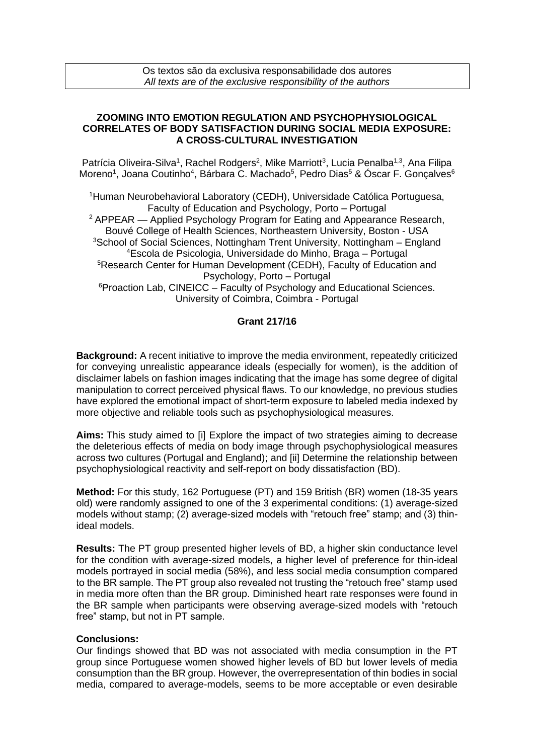## **ZOOMING INTO EMOTION REGULATION AND PSYCHOPHYSIOLOGICAL CORRELATES OF BODY SATISFACTION DURING SOCIAL MEDIA EXPOSURE: A CROSS-CULTURAL INVESTIGATION**

Patrícia Oliveira-Silva<sup>1</sup>, Rachel Rodgers<sup>2</sup>, Mike Marriott<sup>3</sup>, Lucia Penalba<sup>1,3</sup>, Ana Filipa Moreno<sup>1</sup>, Joana Coutinho<sup>4</sup>, Bárbara C. Machado<sup>5</sup>, Pedro Dias<sup>5</sup> & Óscar F. Gonçalves<sup>6</sup>

<sup>1</sup>Human Neurobehavioral Laboratory (CEDH), Universidade Católica Portuguesa, Faculty of Education and Psychology, Porto – Portugal <sup>2</sup> APPEAR — Applied Psychology Program for Eating and Appearance Research, Bouvé College of Health Sciences, Northeastern University, Boston - USA <sup>3</sup>School of Social Sciences, Nottingham Trent University, Nottingham – England <sup>4</sup>Escola de Psicologia, Universidade do Minho, Braga – Portugal <sup>5</sup>Research Center for Human Development (CEDH), Faculty of Education and Psychology, Porto – Portugal <sup>6</sup>Proaction Lab, CINEICC – Faculty of Psychology and Educational Sciences. University of Coimbra, Coimbra - Portugal

## **Grant 217/16**

**Background:** A recent initiative to improve the media environment, repeatedly criticized for conveying unrealistic appearance ideals (especially for women), is the addition of disclaimer labels on fashion images indicating that the image has some degree of digital manipulation to correct perceived physical flaws. To our knowledge, no previous studies have explored the emotional impact of short-term exposure to labeled media indexed by more objective and reliable tools such as psychophysiological measures.

**Aims:** This study aimed to [i] Explore the impact of two strategies aiming to decrease the deleterious effects of media on body image through psychophysiological measures across two cultures (Portugal and England); and [ii] Determine the relationship between psychophysiological reactivity and self-report on body dissatisfaction (BD).

**Method:** For this study, 162 Portuguese (PT) and 159 British (BR) women (18-35 years old) were randomly assigned to one of the 3 experimental conditions: (1) average-sized models without stamp; (2) average-sized models with "retouch free" stamp; and (3) thinideal models.

**Results:** The PT group presented higher levels of BD, a higher skin conductance level for the condition with average-sized models, a higher level of preference for thin-ideal models portrayed in social media (58%), and less social media consumption compared to the BR sample. The PT group also revealed not trusting the "retouch free" stamp used in media more often than the BR group. Diminished heart rate responses were found in the BR sample when participants were observing average-sized models with "retouch free" stamp, but not in PT sample.

## **Conclusions:**

Our findings showed that BD was not associated with media consumption in the PT group since Portuguese women showed higher levels of BD but lower levels of media consumption than the BR group. However, the overrepresentation of thin bodies in social media, compared to average-models, seems to be more acceptable or even desirable